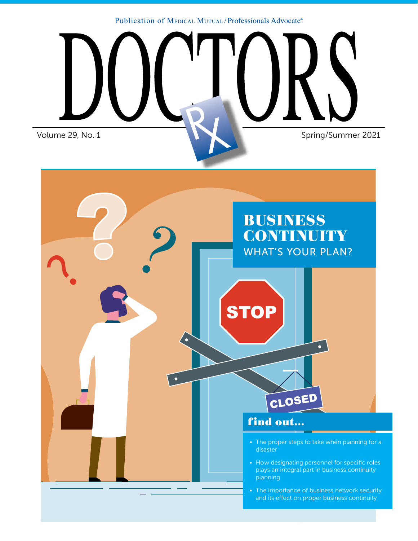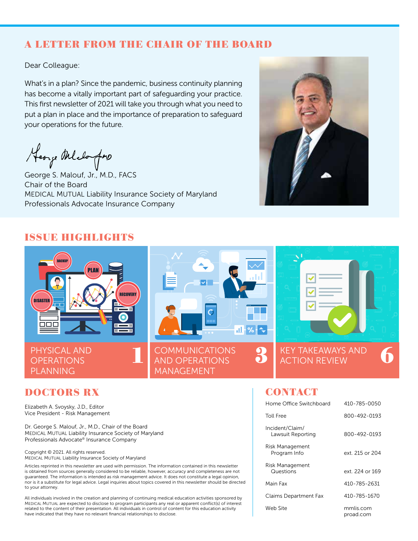# A LETTER FROM THE CHAIR OF THE BOARD

Dear Colleague:

What's in a plan? Since the pandemic, business continuity planning has become a vitally important part of safeguarding your practice. This first newsletter of 2021 will take you through what you need to put a plan in place and the importance of preparation to safeguard your operations for the future.

Heorge Melongine

George S. Malouf, Jr., M.D., FACS Chair of the Board MEDICAL MUTUAL Liability Insurance Society of Maryland Professionals Advocate Insurance Company



# ISSUE HIGHLIGHTS



# DOCTORS RX

Elizabeth A. Svoysky, J.D., Editor Vice President - Risk Management

Dr. George S. Malouf, Jr., M.D., Chair of the Board MEDICAL MUTUAL Liability Insurance Society of Maryland Professionals Advocate® Insurance Company

Copyright © 2021. All rights reserved. MEDICAL MUTUAL Liability Insurance Society of Maryland

Articles reprinted in this newsletter are used with permission. The information contained in this newsletter is obtained from sources generally considered to be reliable, however, accuracy and completeness are not guaranteed. The information is intended as risk management advice. It does not constitute a legal opinion, nor is it a substitute for legal advice. Legal inquiries about topics covered in this newsletter should be directed to your attorney.

All individuals involved in the creation and planning of continuing medical education activities sponsored by MEDICAL MUTUAL are expected to disclose to program participants any real or apparent conflict(s) of interest related to the content of their presentation. All individuals in control of content for this education activity have indicated that they have no relevant financial relationships to disclose.

# **CONTACT**

| Home Office Switchboard              | 410-785-0050           |
|--------------------------------------|------------------------|
| <b>Toll Free</b>                     | 800-492-0193           |
| Incident/Claim/<br>Lawsuit Reporting | 800-492-0193           |
| Risk Management<br>Program Info      | ext 215 or 204         |
| Risk Management<br>Questions         | ext 224 or 169         |
| Main Fax                             | 410-785-2631           |
| Claims Department Fax                | 410-785-1670           |
| Web Site                             | mmlis.com<br>proad.com |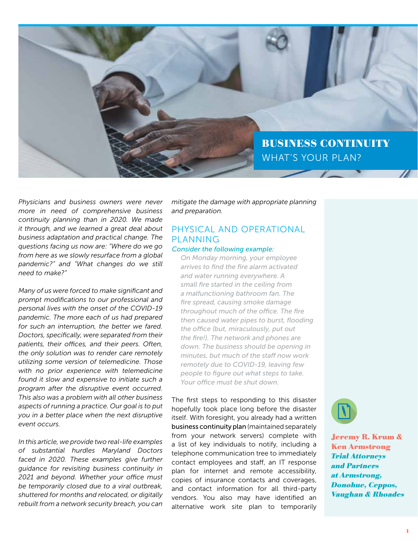

*Physicians and business owners were never more in need of comprehensive business continuity planning than in 2020. We made it through, and we learned a great deal about business adaptation and practical change. The questions facing us now are: "Where do we go from here as we slowly resurface from a global pandemic?" and "What changes do we still need to make?"* 

*Many of us were forced to make significant and prompt modifications to our professional and personal lives with the onset of the COVID-19 pandemic. The more each of us had prepared for such an interruption, the better we fared. Doctors, specifically, were separated from their patients, their offices, and their peers. Often, the only solution was to render care remotely utilizing some version of telemedicine. Those with no prior experience with telemedicine found it slow and expensive to initiate such a program after the disruptive event occurred. This also was a problem with all other business aspects of running a practice. Our goal is to put you in a better place when the next disruptive event occurs.*

*In this article, we provide two real-life examples of substantial hurdles Maryland Doctors faced in 2020. These examples give further guidance for revisiting business continuity in 2021 and beyond. Whether your office must be temporarily closed due to a viral outbreak, shuttered for months and relocated, or digitally rebuilt from a network security breach, you can*  *mitigate the damage with appropriate planning and preparation.*

# PHYSICAL AND OPERATIONAL PLANNING

### *Consider the following example:*

*On Monday morning, your employee arrives to find the fire alarm activated and water running everywhere. A small fire started in the ceiling from a malfunctioning bathroom fan. The fire spread, causing smoke damage throughout much of the office. The fire then caused water pipes to burst, flooding the office (but, miraculously, put out the fire!). The network and phones are down. The business should be opening in minutes, but much of the staff now work remotely due to COVID-19, leaving few people to figure out what steps to take. Your office must be shut down.*

The first steps to responding to this disaster hopefully took place long before the disaster itself. With foresight, you already had a written business continuity plan (maintained separately from your network servers) complete with a list of key individuals to notify, including a telephone communication tree to immediately contact employees and staff, an IT response plan for internet and remote accessibility, copies of insurance contacts and coverages, and contact information for all third-party vendors. You also may have identified an alternative work site plan to temporarily



Jeremy R. Krum & Ken Armstrong Trial Attorneys and Partners at Armstrong, Donohue, Ceppos, Vaughan & Rhoades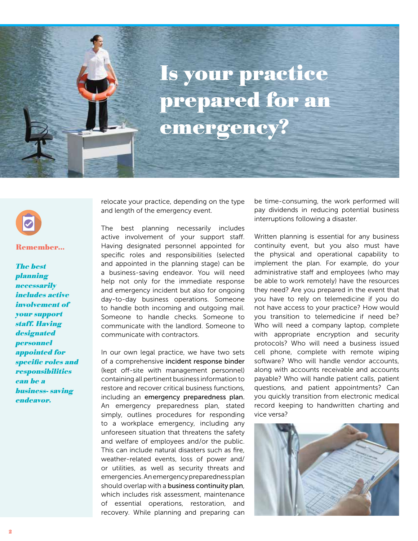

### Remember...

The best planning **necessarily** includes active involvement of your support staff. Having **designated** personnel appointed for specific roles and **responsibilities** can be a business- saving endeavor.

relocate your practice, depending on the type and length of the emergency event.

The best planning necessarily includes active involvement of your support staff. Having designated personnel appointed for specific roles and responsibilities (selected and appointed in the planning stage) can be a business-saving endeavor. You will need help not only for the immediate response and emergency incident but also for ongoing day-to-day business operations. Someone to handle both incoming and outgoing mail. Someone to handle checks. Someone to communicate with the landlord. Someone to communicate with contractors.

In our own legal practice, we have two sets of a comprehensive incident response binder (kept off-site with management personnel) containing all pertinent business information to restore and recover critical business functions, including an emergency preparedness plan. An emergency preparedness plan, stated simply, outlines procedures for responding to a workplace emergency, including any unforeseen situation that threatens the safety and welfare of employees and/or the public. This can include natural disasters such as fire, weather-related events, loss of power and/ or utilities, as well as security threats and emergencies. An emergency preparedness plan should overlap with a business continuity plan, which includes risk assessment, maintenance of essential operations, restoration, and recovery. While planning and preparing can be time-consuming, the work performed will pay dividends in reducing potential business interruptions following a disaster.

Written planning is essential for any business continuity event, but you also must have the physical and operational capability to implement the plan. For example, do your administrative staff and employees (who may be able to work remotely) have the resources they need? Are you prepared in the event that you have to rely on telemedicine if you do not have access to your practice? How would you transition to telemedicine if need be? Who will need a company laptop, complete with appropriate encryption and security protocols? Who will need a business issued cell phone, complete with remote wiping software? Who will handle vendor accounts, along with accounts receivable and accounts payable? Who will handle patient calls, patient questions, and patient appointments? Can you quickly transition from electronic medical record keeping to handwritten charting and vice versa?

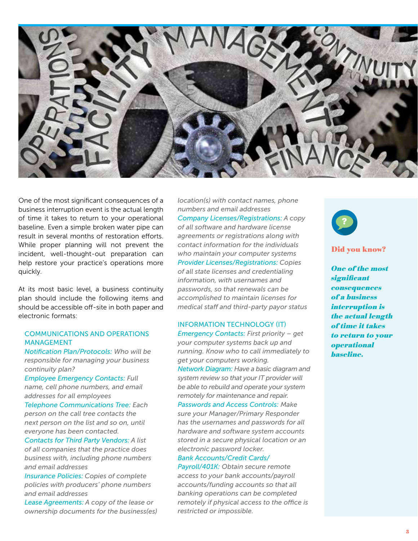

One of the most significant consequences of a business interruption event is the actual length of time it takes to return to your operational baseline. Even a simple broken water pipe can result in several months of restoration efforts. While proper planning will not prevent the incident, well-thought-out preparation can help restore your practice's operations more quickly.

At its most basic level, a business continuity plan should include the following items and should be accessible off-site in both paper and electronic formats:

### COMMUNICATIONS AND OPERATIONS MANAGEMENT

*Notification Plan/Protocols: Who will be responsible for managing your business continuity plan?* 

*Employee Emergency Contacts: Full name, cell phone numbers, and email addresses for all employees*

*Telephone Communications Tree: Each person on the call tree contacts the next person on the list and so on, until everyone has been contacted.* 

*Contacts for Third Party Vendors: A list of all companies that the practice does business with, including phone numbers and email addresses*

*Insurance Policies: Copies of complete policies with producers' phone numbers and email addresses*

*Lease Agreements: A copy of the lease or ownership documents for the business(es)*  *location(s) with contact names, phone numbers and email addresses Company Licenses/Registrations: A copy of all software and hardware license agreements or registrations along with contact information for the individuals who maintain your computer systems Provider Licenses/Registrations: Copies of all state licenses and credentialing information, with usernames and passwords, so that renewals can be accomplished to maintain licenses for medical staff and third-party payor status* 

### INFORMATION TECHNOLOGY (IT)

*Emergency Contacts: First priority – get your computer systems back up and running. Know who to call immediately to get your computers working. Network Diagram: Have a basic diagram and* 

*system review so that your IT provider will be able to rebuild and operate your system remotely for maintenance and repair. Passwords and Access Controls: Make* 

*sure your Manager/Primary Responder has the usernames and passwords for all hardware and software system accounts stored in a secure physical location or an electronic password locker.*

# *Bank Accounts/Credit Cards/*

*Payroll/401K: Obtain secure remote access to your bank accounts/payroll accounts/funding accounts so that all banking operations can be completed remotely if physical access to the office is restricted or impossible.*



### Did you know?

One of the most significant consequences of a business interruption is the actual length of time it takes to return to your operational baseline.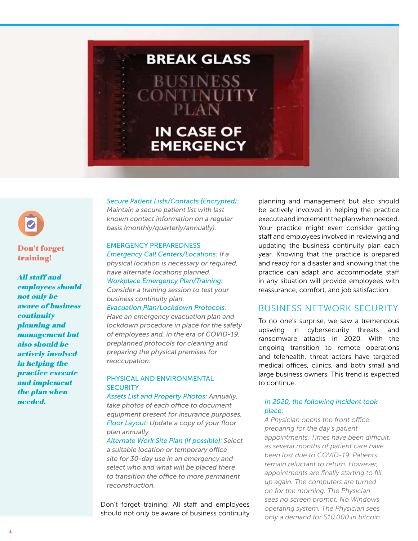



## Don't forget training!

All staff and employees should not only be aware of business **continuity** planning and management but also should be actively involved in helping the practice execute and implement the plan when needed.

### *Secure Patient Lists/Contacts (Encrypted):*

*Maintain a secure patient list with last known contact information on a regular basis (monthly/quarterly/annually).*

### EMERGENCY PREPAREDNESS *Emergency Call Centers/Locations: If a*

*physical location is necessary or required, have alternate locations planned. Workplace Emergency Plan/Training:* 

*Consider a training session to test your business continuity plan.*

### *Evacuation Plan/Lockdown Protocols:*

*Have an emergency evacuation plan and lockdown procedure in place for the safety of employees and, in the era of COVID-19, preplanned protocols for cleaning and preparing the physical premises for reoccupation.*

### PHYSICAL AND ENVIRONMENTAL **SECURITY**

*Assets List and Property Photos: Annually, take photos of each office to document equipment present for insurance purposes. Floor Layout: Update a copy of your floor plan annually.* 

*Alternate Work Site Plan (If possible): Select a suitable location or temporary office site for 30-day use in an emergency and select who and what will be placed there to transition the office to more permanent reconstruction.*

Don't forget training! All staff and employees should not only be aware of business continuity

planning and management but also should be actively involved in helping the practice execute and implement the plan when needed. Your practice might even consider getting staff and employees involved in reviewing and updating the business continuity plan each year. Knowing that the practice is prepared and ready for a disaster and knowing that the practice can adapt and accommodate staff in any situation will provide employees with reassurance, comfort, and job satisfaction.

# BUSINESS NETWORK SECURITY

To no one's surprise, we saw a tremendous upswing in cybersecurity threats and ransomware attacks in 2020. With the ongoing transition to remote operations and telehealth, threat actors have targeted medical offices, clinics, and both small and large business owners. This trend is expected to continue.

### *In 2020, the following incident took place:*

*A Physician opens the front office preparing for the day's patient appointments. Times have been difficult, as several months of patient care have been lost due to COVID-19. Patients remain reluctant to return. However, appointments are finally starting to fill up again. The computers are turned on for the morning. The Physician sees no screen prompt. No Windows operating system. The Physician sees only a demand for \$10,000 in bitcoin.*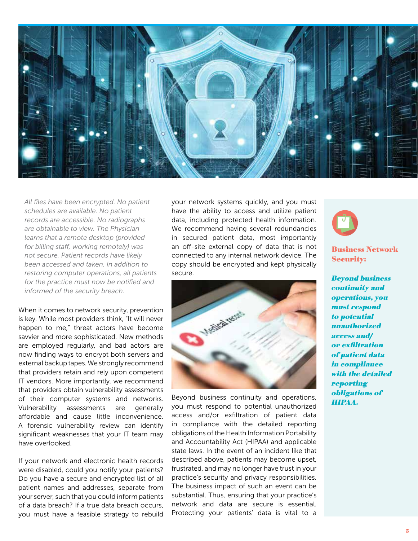

*All files have been encrypted. No patient schedules are available. No patient records are accessible. No radiographs are obtainable to view. The Physician learns that a remote desktop (provided for billing staff, working remotely) was not secure. Patient records have likely been accessed and taken. In addition to restoring computer operations, all patients for the practice must now be notified and informed of the security breach.* 

When it comes to network security, prevention is key. While most providers think, "It will never happen to me," threat actors have become savvier and more sophisticated. New methods are employed regularly, and bad actors are now finding ways to encrypt both servers and external backup tapes. We strongly recommend that providers retain and rely upon competent IT vendors. More importantly, we recommend that providers obtain vulnerability assessments of their computer systems and networks. Vulnerability assessments are generally affordable and cause little inconvenience. A forensic vulnerability review can identify significant weaknesses that your IT team may have overlooked.

If your network and electronic health records were disabled, could you notify your patients? Do you have a secure and encrypted list of all patient names and addresses, separate from your server, such that you could inform patients of a data breach? If a true data breach occurs, you must have a feasible strategy to rebuild

your network systems quickly, and you must have the ability to access and utilize patient data, including protected health information. We recommend having several redundancies in secured patient data, most importantly an off-site external copy of data that is not connected to any internal network device. The copy should be encrypted and kept physically secure.



Beyond business continuity and operations, you must respond to potential unauthorized access and/or exfiltration of patient data in compliance with the detailed reporting obligations of the Health Information Portability and Accountability Act (HIPAA) and applicable state laws. In the event of an incident like that described above, patients may become upset, frustrated, and may no longer have trust in your practice's security and privacy responsibilities. The business impact of such an event can be substantial. Thus, ensuring that your practice's network and data are secure is essential. Protecting your patients' data is vital to a



Business Network Security:

Beyond business continuity and operations, you must respond to potential unauthorized access and/ or exfiltration of patient data in compliance with the detailed reporting obligations of HIPAA.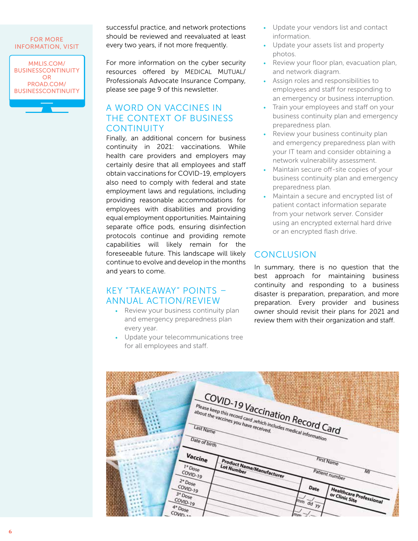### FOR MORE INFORMATION, VISIT

MMLIS.COM/ BUSINESSCONTINUITY OR PROAD.COM/ BUSINESSCONTINUITY successful practice, and network protections should be reviewed and reevaluated at least every two years, if not more frequently.

For more information on the cyber security resources offered by MEDICAL MUTUAL/ Professionals Advocate Insurance Company, please see page 9 of this newsletter.

# A WORD ON VACCINES IN THE CONTEXT OF BUSINESS **CONTINUITY**

Finally, an additional concern for business continuity in 2021: vaccinations. While health care providers and employers may certainly desire that all employees and staff obtain vaccinations for COVID-19, employers also need to comply with federal and state employment laws and regulations, including providing reasonable accommodations for employees with disabilities and providing equal employment opportunities. Maintaining separate office pods, ensuring disinfection protocols continue and providing remote capabilities will likely remain for the foreseeable future. This landscape will likely continue to evolve and develop in the months and years to come.

# KEY "TAKEAWAY" POINTS – ANNUAL ACTION/REVIEW

- *•* Review your business continuity plan and emergency preparedness plan every year.
- *•* Update your telecommunications tree for all employees and staff.
- *•* Update your vendors list and contact information.
- *•* Update your assets list and property photos.
- *•* Review your floor plan, evacuation plan, and network diagram.
- *•* Assign roles and responsibilities to employees and staff for responding to an emergency or business interruption.
- *•* Train your employees and staff on your business continuity plan and emergency preparedness plan.
- *•* Review your business continuity plan and emergency preparedness plan with your IT team and consider obtaining a network vulnerability assessment.
- *•* Maintain secure off-site copies of your business continuity plan and emergency preparedness plan.
- *•* Maintain a secure and encrypted list of patient contact information separate from your network server. Consider using an encrypted external hard drive or an encrypted flash drive.

# **CONCLUSION**

In summary, there is no question that the best approach for maintaining business continuity and responding to a business disaster is preparation, preparation, and more preparation. Every provider and business owner should revisit their plans for 2021 and review them with their organization and staff.

|                                       |                                                                                                           | ANA COST<br><b>SHABITING</b>               |                                    |
|---------------------------------------|-----------------------------------------------------------------------------------------------------------|--------------------------------------------|------------------------------------|
|                                       |                                                                                                           | COVID-19 Vaccination Record Card           |                                    |
|                                       | Please keep this record card, which includes medical information<br>about the vaccines you have received. |                                            | <b>STATISTICS</b>                  |
|                                       | Date of birth                                                                                             |                                            |                                    |
|                                       | Vaccine<br>Product Name/Manufacturer<br>$I^*$ Dose<br><b>Lot Number</b><br>COVID-19                       |                                            | First Name<br>Patient number<br>Mi |
| $2 * D05e$<br>$COWD-19$<br>$3 *$ Dose |                                                                                                           | Date                                       | Healthcare Professional            |
| COVID-19<br>$4°$ Dose<br>$COWD_{22}$  |                                                                                                           | $\overrightarrow{dd}$ yy<br>m <sub>n</sub> | or Clinic Site                     |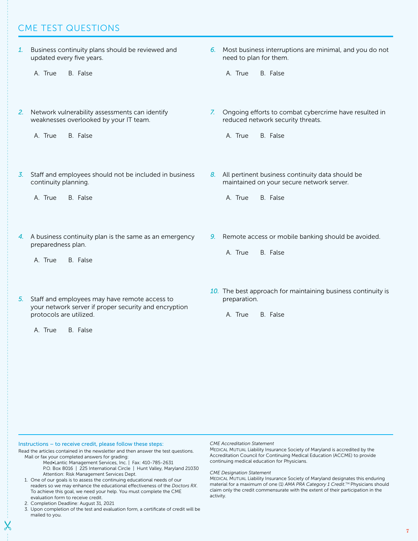# CME TEST QUESTIONS

*1.* Business continuity plans should be reviewed and updated every five years. A. True B. False *2.* Network vulnerability assessments can identify weaknesses overlooked by your IT team. A. True B. False *3.* Staff and employees should not be included in business continuity planning. A. True B. False *4.* A business continuity plan is the same as an emergency preparedness plan. A. True B. False *5.* Staff and employees may have remote access to your network server if proper security and encryption protocols are utilized. A. True B. False *6.* Most business interruptions are minimal, and you do not need to plan for them. A. True B. False *7.* Ongoing efforts to combat cybercrime have resulted in reduced network security threats. A. True B. False *8.* All pertinent business continuity data should be maintained on your secure network server. A. True B. False *9.* Remote access or mobile banking should be avoided. A. True B. False *10.* The best approach for maintaining business continuity is preparation. A. True B. False

Instructions – to receive credit, please follow these steps:

Read the articles contained in the newsletter and then answer the test questions. Mail or fax your completed answers for grading:

- Med•Lantic Management Services, Inc. | Fax: 410-785-2631 P.O. Box 8016 | 225 International Circle | Hunt Valley, Maryland 21030 Attention: Risk Management Services Dept.
- 1. One of our goals is to assess the continuing educational needs of our readers so we may enhance the educational effectiveness of the *Doctors RX*. To achieve this goal, we need your help. You must complete the CME evaluation form to receive credit.
- 2. Completion Deadline: August 31, 2021
- 3. Upon completion of the test and evaluation form, a certificate of credit will be mailed to you.

*CME Accreditation Statement*

MEDICAL MUTUAL Liability Insurance Society of Maryland is accredited by the Accreditation Council for Continuing Medical Education (ACCME) to provide continuing medical education for Physicians.

### *CME Designation Statement*

MEDICAL MUTUAL Liability Insurance Society of Maryland designates this enduring material for a maximum of one (1) *AMA PRA Category 1 Credit*. TM Physicians should claim only the credit commensurate with the extent of their participation in the activity.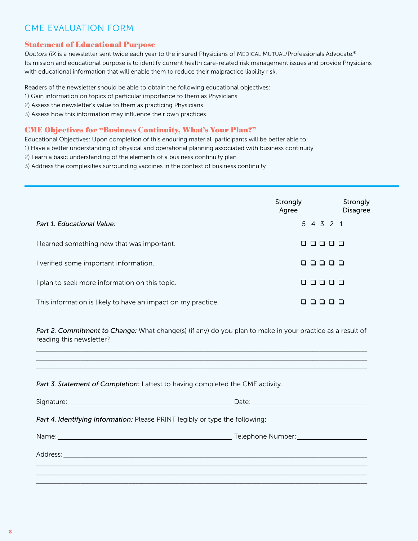# CME EVALUATION FORM

### Statement of Educational Purpose

*Doctors RX* is a newsletter sent twice each year to the insured Physicians of MEDICAL MUTUAL/Professionals Advocate.® Its mission and educational purpose is to identify current health care-related risk management issues and provide Physicians with educational information that will enable them to reduce their malpractice liability risk.

Readers of the newsletter should be able to obtain the following educational objectives:

- 1) Gain information on topics of particular importance to them as Physicians
- 2) Assess the newsletter's value to them as practicing Physicians
- 3) Assess how this information may influence their own practices

### CME Objectives for "Business Continuity, What's Your Plan?"

Educational Objectives: Upon completion of this enduring material, participants will be better able to:

- 1) Have a better understanding of physical and operational planning associated with business continuity
- 2) Learn a basic understanding of the elements of a business continuity plan
- 3) Address the complexities surrounding vaccines in the context of business continuity

|                                                              | Strongly<br>Agree | Strongly<br><b>Disagree</b> |
|--------------------------------------------------------------|-------------------|-----------------------------|
| Part 1. Educational Value:                                   | 5 4 3 2 1         |                             |
| I learned something new that was important.                  | .                 | □□                          |
| verified some important information.                         | 00000             |                             |
| plan to seek more information on this topic.                 | ם ם ם ם<br>$\Box$ |                             |
| This information is likely to have an impact on my practice. |                   |                             |

Part 2. Commitment to Change: What change(s) (if any) do you plan to make in your practice as a result of reading this newsletter?

 $\_$  ,  $\_$  ,  $\_$  ,  $\_$  ,  $\_$  ,  $\_$  ,  $\_$  ,  $\_$  ,  $\_$  ,  $\_$  ,  $\_$  ,  $\_$  ,  $\_$  ,  $\_$  ,  $\_$  ,  $\_$  ,  $\_$  ,  $\_$  ,  $\_$  ,  $\_$  ,  $\_$  ,  $\_$  ,  $\_$  ,  $\_$  ,  $\_$  ,  $\_$  ,  $\_$  ,  $\_$  ,  $\_$  ,  $\_$  ,  $\_$  ,  $\_$  ,  $\_$  ,  $\_$  ,  $\_$  ,  $\_$  ,  $\_$  ,  $\_$  ,  $\_$  ,  $\_$  ,  $\_$  ,  $\_$  ,  $\_$  ,  $\_$  ,  $\_$  ,  $\_$  ,  $\_$  ,  $\_$  ,  $\_$  ,  $\_$  ,  $\_$  ,  $\_$  ,  $\_$  ,  $\_$  ,  $\_$  ,  $\_$  ,  $\_$  ,  $\_$  ,  $\_$  ,  $\_$  ,  $\_$  ,  $\_$  ,  $\_$  ,  $\_$  ,  $\_$  ,  $\_$  ,  $\_$  ,  $\_$  ,  $\_$  ,  $\_$  ,  $\_$  ,  $\_$  ,  $\_$  ,  $\_$  ,  $\_$  ,  $\_$  ,  $\_$  ,  $\_$  ,  $\_$  ,  $\_$  ,  $\_$  ,  $\_$  ,  $\_$  ,  $\_$  ,  $\_$  ,  $\_$  ,  $\_$  ,  $\_$  ,  $\_$  ,  $\_$  ,  $\_$  ,  $\_$  ,  $\_$  ,  $\_$  ,  $\_$  ,  $\_$  ,  $\_$  ,  $\_$  ,  $\_$  ,  $\_$  ,  $\_$  ,  $\_$  ,  $\_$  ,  $\_$  ,  $\_$  ,  $\_$  ,  $\_$  ,  $\_$  ,  $\_$  ,  $\_$  ,  $\_$  ,

|  | Part 3. Statement of Completion: I attest to having completed the CME activity. |
|--|---------------------------------------------------------------------------------|
|  |                                                                                 |

| Part 4. Identifying Information: Please PRINT legibly or type the following: |                                                                |  |  |
|------------------------------------------------------------------------------|----------------------------------------------------------------|--|--|
|                                                                              | Telephone Number: Network of the Contract of Telephone Number: |  |  |
|                                                                              |                                                                |  |  |
|                                                                              |                                                                |  |  |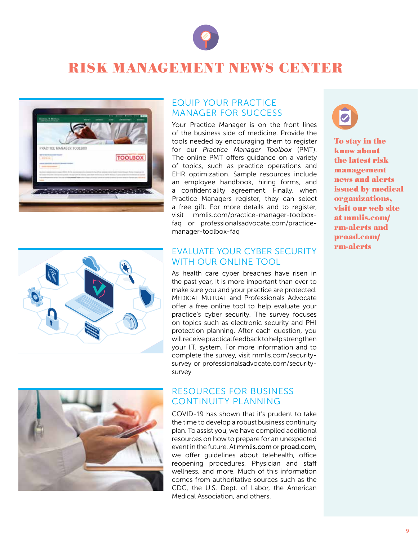

# RISK MANAGEMENT NEWS CENTER



# EQUIP YOUR PRACTICE MANAGER FOR SUCCESS

Your Practice Manager is on the front lines of the business side of medicine. Provide the tools needed by encouraging them to register for our *Practice Manager Toolbox* (PMT). The online PMT offers guidance on a variety of topics, such as practice operations and EHR optimization. Sample resources include an employee handbook, hiring forms, and a confidentiality agreement. Finally, when Practice Managers register, they can select a free gift. For more details and to register, visit mmlis.com/practice-manager-toolboxfaq or professionalsadvocate.com/practicemanager-toolbox-faq



# EVALUATE YOUR CYBER SECURITY WITH OUR ONLINE TOOL

As health care cyber breaches have risen in the past year, it is more important than ever to make sure you and your practice are protected. MEDICAL MUTUAL and Professionals Advocate offer a free online tool to help evaluate your practice's cyber security. The survey focuses on topics such as electronic security and PHI protection planning. After each question, you will receive practical feedback to help strengthen your I.T. system. For more information and to complete the survey, visit mmlis.com/securitysurvey or professionalsadvocate.com/securitysurvey



# RESOURCES FOR BUSINESS CONTINUITY PLANNING

COVID-19 has shown that it's prudent to take the time to develop a robust business continuity plan. To assist you, we have compiled additional resources on how to prepare for an unexpected event in the future. At mmlis.com or proad.com, we offer guidelines about telehealth, office reopening procedures, Physician and staff wellness, and more. Much of this information comes from authoritative sources such as the CDC, the U.S. Dept. of Labor, the American Medical Association, and others.



To stay in the know about the latest risk management news and alerts issued by medical organizations, visit our web site at mmlis.com/ rm-alerts and proad.com/ rm-alerts